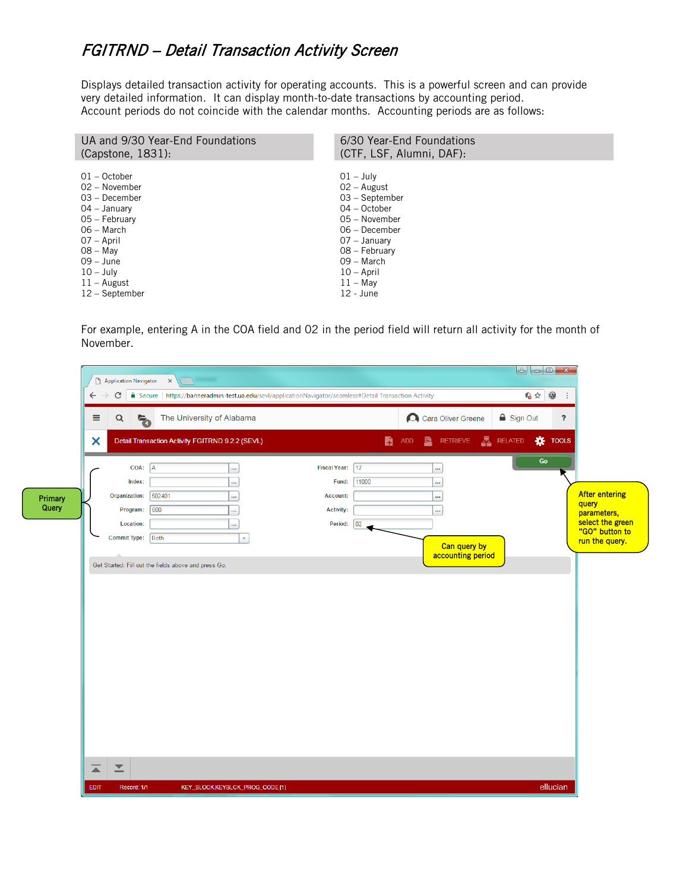## FGITRND – Detail Transaction Activity Screen

Displays detailed transaction activity for operating accounts. This is a powerful screen and can provide very detailed information. It can display month-to-date transactions by accounting period. Account periods do not coincide with the calendar months. Accounting periods are as follows:

| UA and 9/30 Year-End Foundations | 6/30 Year-End Foundations |
|----------------------------------|---------------------------|
| $(Capstone, 1831)$ :             | (CTF, LSF, Alumni, DAF):  |
|                                  |                           |
| $01 - October$                   | $01 - July$               |
| 02 - November                    | $02 -$ August             |
| 03 - December                    | 03 – September            |
| 04 – January                     | 04 – October              |
| 05 - February                    | 05 - November             |
| 06 – March                       | 06 - December             |
| 07 – April                       | 07 – January              |
| $08 - May$                       | 08 - February             |
| $09 - June$                      | 09 - March                |
| $10 - July$                      | $10 - April$              |
| $11 -$ August                    | $11 - May$                |
| 12 - September                   | $12 - June$               |

For example, entering A in the COA field and 02 in the period field will return all activity for the month of November.

| ADD <b>B</b> RETRIEVE <b>B</b> RELATED <b>IX</b> TOOLS<br>Go<br><br><br><b>After entering</b><br>$\cdots$<br>query<br>$\cdots$<br>parameters,<br>select the green<br>"GO" button to<br>run the query.<br>Can query by<br>accounting period | Fiscal Year: 17<br>11000<br>Fund:<br><b>Account:</b><br><b>Activity:</b><br>Period: 02 | Detail Transaction Activity FGITRND 9.2.2 (SEVL)<br><br><br><br><br> | ×<br>COA: A<br>Index:<br>Organization:<br>502401<br>600<br>Program: |
|--------------------------------------------------------------------------------------------------------------------------------------------------------------------------------------------------------------------------------------------|----------------------------------------------------------------------------------------|----------------------------------------------------------------------|---------------------------------------------------------------------|
|                                                                                                                                                                                                                                            |                                                                                        |                                                                      |                                                                     |
|                                                                                                                                                                                                                                            |                                                                                        |                                                                      |                                                                     |
|                                                                                                                                                                                                                                            |                                                                                        |                                                                      |                                                                     |
|                                                                                                                                                                                                                                            |                                                                                        |                                                                      |                                                                     |
|                                                                                                                                                                                                                                            |                                                                                        |                                                                      |                                                                     |
|                                                                                                                                                                                                                                            |                                                                                        |                                                                      | <b>Location:</b>                                                    |
|                                                                                                                                                                                                                                            |                                                                                        | $\overline{\phantom{a}}$                                             | Commit Type: Both                                                   |
|                                                                                                                                                                                                                                            |                                                                                        |                                                                      |                                                                     |
|                                                                                                                                                                                                                                            |                                                                                        |                                                                      | Get Started: Fill out the fields above and press Go.                |
|                                                                                                                                                                                                                                            |                                                                                        |                                                                      |                                                                     |
|                                                                                                                                                                                                                                            |                                                                                        |                                                                      |                                                                     |
|                                                                                                                                                                                                                                            |                                                                                        |                                                                      |                                                                     |
|                                                                                                                                                                                                                                            |                                                                                        |                                                                      |                                                                     |
|                                                                                                                                                                                                                                            |                                                                                        |                                                                      |                                                                     |
|                                                                                                                                                                                                                                            |                                                                                        |                                                                      |                                                                     |
|                                                                                                                                                                                                                                            |                                                                                        |                                                                      |                                                                     |
|                                                                                                                                                                                                                                            |                                                                                        |                                                                      |                                                                     |
|                                                                                                                                                                                                                                            |                                                                                        |                                                                      |                                                                     |
|                                                                                                                                                                                                                                            |                                                                                        |                                                                      |                                                                     |
|                                                                                                                                                                                                                                            |                                                                                        |                                                                      |                                                                     |
|                                                                                                                                                                                                                                            |                                                                                        |                                                                      |                                                                     |
|                                                                                                                                                                                                                                            |                                                                                        |                                                                      |                                                                     |
|                                                                                                                                                                                                                                            |                                                                                        |                                                                      |                                                                     |
|                                                                                                                                                                                                                                            |                                                                                        |                                                                      |                                                                     |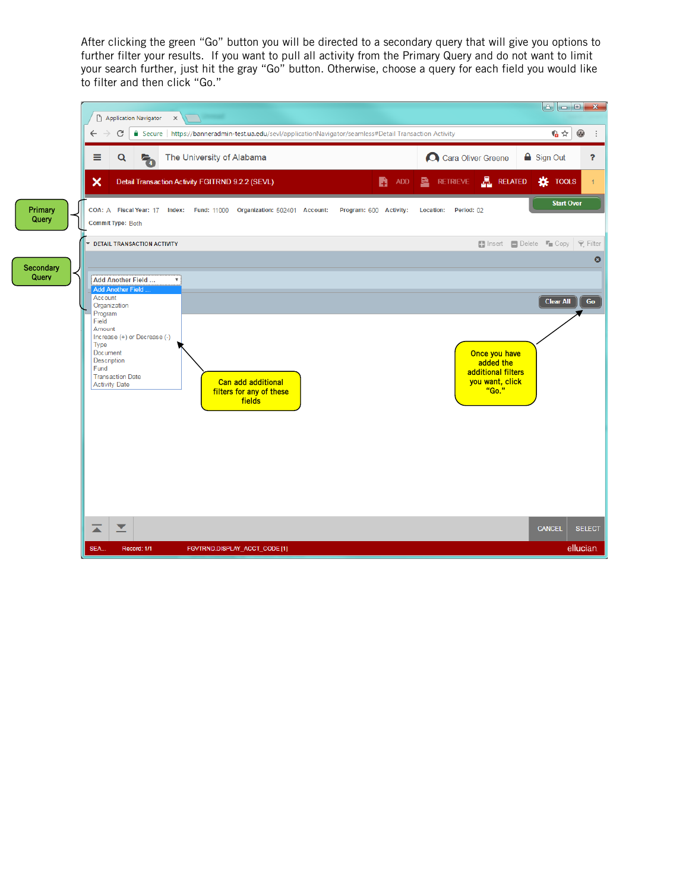After clicking the green "Go" button you will be directed to a secondary query that will give you options to further filter your results. If you want to pull all activity from the Primary Query and do not want to limit your search further, just hit the gray "Go" button. Otherwise, choose a query for each field you would like to filter and then click "Go."

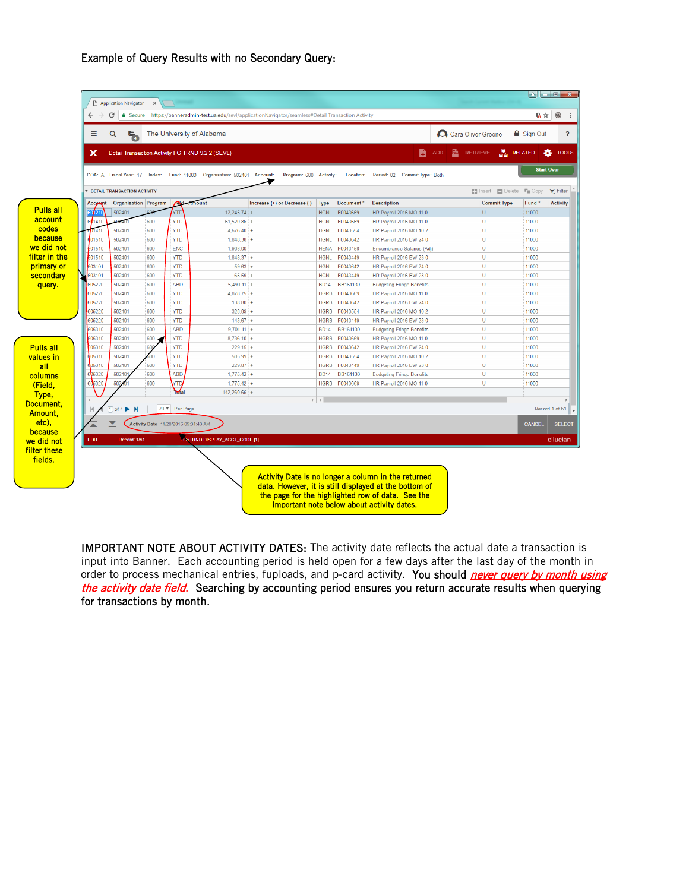## Example of Query Results with no Secondary Query:

|                  | Ξ             | Q<br>气                                           |     | The University of Alabama            |                                                                         |                              |                    |                       |                                  | Cara Oliver Greene          | <b>△</b> Sign Out        |                 |
|------------------|---------------|--------------------------------------------------|-----|--------------------------------------|-------------------------------------------------------------------------|------------------------------|--------------------|-----------------------|----------------------------------|-----------------------------|--------------------------|-----------------|
|                  | ×             | Detail Transaction Activity FGITRND 9.2.2 (SEVL) |     |                                      |                                                                         |                              |                    |                       | B                                | 횳<br>RETRIEVE<br><b>ADD</b> | <b>RELATED</b>           | <b>IX</b> TOOLS |
|                  |               |                                                  |     |                                      | COA: A Fiscal Year: 17 Index: Fund: 11000 Organization: 502401 Account: | Program: 600 Activity:       |                    | <b>Location:</b>      | Period: 02 Commit Type: Both     |                             | <b>Start Over</b>        |                 |
|                  |               | <b>EX DETAIL TRANSACTION ACTIVITY</b>            |     |                                      |                                                                         |                              |                    |                       |                                  | <b>日</b> Insert             | Delete <sup>T</sup> Copy | <b>Y</b> Filter |
|                  | Account       |                                                  |     | Organization Program FOLL Amount     |                                                                         | Increase (+) or Decrease (-) | Type               | Document <sup>*</sup> | <b>Description</b>               | <b>Commit Type</b>          | Fund <sup>*</sup>        | <b>Activity</b> |
| <b>Pulls all</b> | 210           | 502401                                           |     | YTD                                  | $12.245.74 +$                                                           |                              |                    | HGNL F0043669         | HR Payroll 2016 MO 11 0          | U                           | 11000                    |                 |
| account          | 601410        |                                                  | 600 | <b>YTD</b>                           | $61,520.86 +$                                                           |                              | <b>HGNL</b>        | F0043669              | HR Payroll 2016 MO 11 0          | U                           | 11000                    |                 |
| codes            | 01410         | 502401                                           | 600 | <b>YTD</b>                           | $4,676,40+$                                                             |                              | <b>HGNL</b>        | F0043554              | HR Payroll 2016 MO 10 2          | U                           | 11000                    |                 |
| because          | 01510         | 502401                                           | 600 | <b>YTD</b>                           | $1,848.38 +$                                                            |                              | <b>HGNL</b>        | F0043642              | HR Payroll 2016 BW 24 0          | U                           | 11000                    |                 |
| we did not       | 601510        | 502401                                           | 600 | <b>ENC</b>                           | $-1,908.00 -$                                                           |                              |                    | <b>HENA F0043458</b>  | Encumbrance Salaries (Adj)       | U                           | 11000                    |                 |
| filter in the    | 601510        | 502401                                           | 600 | <b>YTD</b>                           | $1,848.37 +$                                                            |                              | <b>HGNL</b>        | F0043449              | HR Payroll 2016 BW 23 0          | U                           | 11000                    |                 |
| primary or       | 603101        | 502401                                           | 600 | <b>YTD</b>                           | $59.63 +$                                                               |                              | <b>HGNL</b>        | F0043642              | HR Payroll 2016 BW 24 0          | U                           | 11000                    |                 |
| secondary        | 603101        | 502401                                           | 600 | <b>YTD</b>                           | $65.59 +$                                                               |                              | <b>HGNL</b>        | F0043449              | HR Payroll 2016 BW 23 0          | U                           | 11000                    |                 |
| query.           | 605220        | 502401                                           | 600 | <b>ABD</b>                           | $5,490.11 +$                                                            |                              | <b>BD14</b>        | BB161130              | <b>Budgeting Fringe Benefits</b> | U                           | 11000                    |                 |
|                  | 605220        | 502401                                           | 600 | <b>YTD</b>                           | $4.878.75 +$                                                            |                              |                    | HGRB F0043669         | HR Payroll 2016 MO 11 0          | $\cup$                      | 11000                    |                 |
|                  | 605220        | 502401                                           | 600 | <b>YTD</b>                           | $138.80 +$                                                              |                              | <b>HGRB</b>        | F0043642              | HR Payroll 2016 BW 24 0          | U                           | 11000                    |                 |
|                  | 605220        | 502401                                           | 600 | <b>YTD</b>                           | $328.89 +$                                                              |                              | <b>HGRB</b>        | F0043554              | HR Payroll 2016 MO 10 2          | U                           | 11000                    |                 |
|                  | 605220        | 502401                                           | 600 | <b>YTD</b>                           | $143.67 +$                                                              |                              | <b>HGRB</b>        | F0043449              | HR Payroll 2016 BW 23 0          | $\cup$                      | 11000                    |                 |
|                  | 605310        | 502401                                           | 600 | <b>ABD</b>                           | $9,701.11 +$                                                            |                              | <b>BD14</b>        | BB161130              | <b>Budgeting Fringe Benefits</b> | U                           | 11000                    |                 |
|                  | 605310        | 502401                                           | 600 | <b>YTD</b>                           | $8,736.10 +$                                                            |                              | <b>HGRB</b>        | F0043669              | HR Payroll 2016 MO 11 0          | U                           | 11000                    |                 |
| <b>Pulls all</b> | 605310        | 502401                                           | 600 | <b>YTD</b>                           | $229.15 +$                                                              |                              | <b>HGRB</b>        | F0043642              | HR Payroll 2016 BW 24 0          | U                           | 11000                    |                 |
| values in        | 05310         | 502401                                           | 500 | <b>YTD</b>                           | $505.99 +$                                                              |                              | <b>HGRB</b>        | F0043554              | HR Payroll 2016 MO 10 2          | U                           | 11000                    |                 |
| all              | 05310         | 502401                                           | 600 | <b>YTD</b>                           | $229.87 +$                                                              |                              | <b>HGRB</b>        | F0043449              | HR Payroll 2016 BW 23 0          | U                           | 11000                    |                 |
| columns          | 605320        | 50240                                            | 600 | <b>ABD</b>                           | $1,775.42 +$                                                            |                              | <b>BD14</b>        | BB161130              | <b>Budgeting Fringe Benefits</b> | U                           | 11000                    |                 |
| (Field,          | 605320        | 502401                                           | 600 | <b>YTD</b>                           | $1,775.42 +$                                                            |                              |                    | HGRB F0043669         | HR Payroll 2016 MO 11 0          | U                           | 11000                    |                 |
| Type,            |               |                                                  |     | Mal                                  | $142,260.66$ +                                                          |                              |                    |                       |                                  |                             |                          |                 |
| Document,        | $\mathsf{Id}$ | $\boxed{1}$ of 4<br>$\mathbf{M}$                 |     | 20 v Per Page                        |                                                                         |                              | $>$   $\leftarrow$ |                       |                                  |                             | Record 1 of 61           |                 |
| Amount,          |               |                                                  |     |                                      |                                                                         |                              |                    |                       |                                  |                             |                          |                 |
| etc).            |               |                                                  |     | Activity Date 11/28/2016 09:31:43 AM |                                                                         |                              |                    |                       |                                  |                             | CANCEL                   | <b>SELECT</b>   |
| because          | EDIT          | Record: 1/61                                     |     |                                      | <b>FOVTRND.DISPLAY_ACCT_CODE [1]</b>                                    |                              |                    |                       |                                  |                             |                          | ellucian        |
| we did not       |               |                                                  |     |                                      |                                                                         |                              |                    |                       |                                  |                             |                          |                 |
| filter these     |               |                                                  |     |                                      |                                                                         |                              |                    |                       |                                  |                             |                          |                 |

IMPORTANT NOTE ABOUT ACTIVITY DATES: The activity date reflects the actual date a transaction is input into Banner. Each accounting period is held open for a few days after the last day of the month in order to process mechanical entries, fuploads, and p-card activity. You should *never query by month using* the activity date field. Searching by accounting period ensures you return accurate results when querying for transactions by month.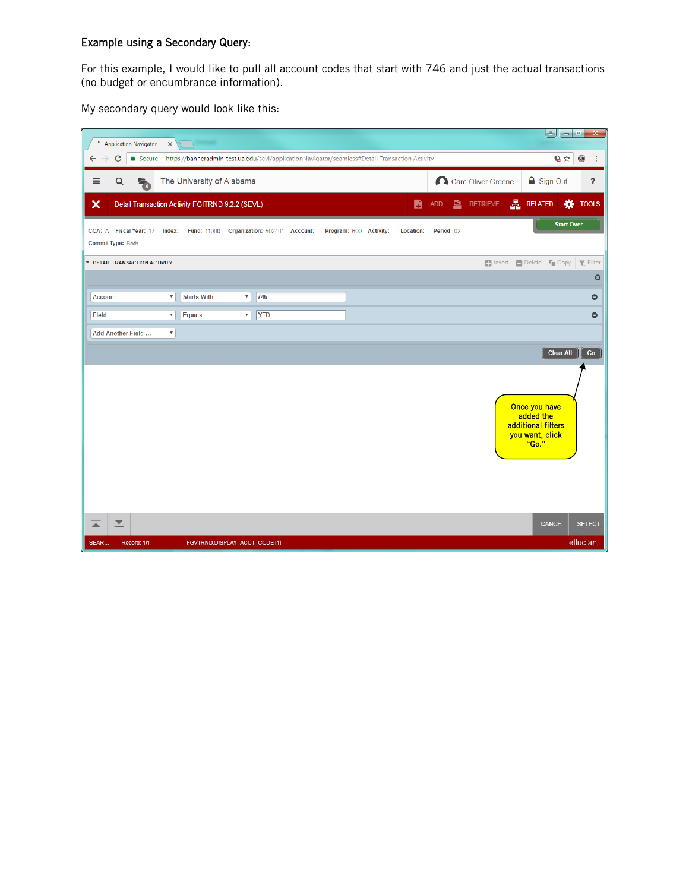## Example using a Secondary Query:

For this example, I would like to pull all account codes that start with 746 and just the actual transactions (no budget or encumbrance information).

My secondary query would look like this:

| Application Navigator<br>$\times$                                                                                              | $\left  \cdot \right $<br><b>100</b>                                                | $\mathbf{x}$ |
|--------------------------------------------------------------------------------------------------------------------------------|-------------------------------------------------------------------------------------|--------------|
| C<br>△ Secure   https://banneradmin-test.ua.edu/sevl/applicationNavigator/seamless#Detail Transaction Activity<br>$\leftarrow$ | 临☆<br>$\circledcirc$                                                                | ÷            |
| ≣<br>The University of Alabama<br>Q<br>ł,                                                                                      | Cara Oliver Greene<br><b>△</b> Sign Out                                             | ?            |
| ×<br>Detail Transaction Activity FGITRND 9.2.2 (SEVL)                                                                          | $\blacksquare$ Retrieve $\blacksquare$ Related<br><b>K</b> TOOLS<br>B<br><b>ADD</b> |              |
| COA: A Fiscal Year: 17 Index: Fund: 11000 Organization: 502401 Account:<br>Program: 600 Activity:<br><b>Commit Type: Both</b>  | <b>Start Over</b><br><b>Location:</b><br>Period: 02                                 |              |
| <b>TERNATION ACTIVITY</b>                                                                                                      | ■ Insert ■ Delete ■ Copy   ₹ Filter                                                 |              |
|                                                                                                                                |                                                                                     | $\bullet$    |
| 746<br><b>Starts With</b><br>$\overline{\mathbf{v}}$<br>$\overline{\mathbf{v}}$<br><b>Account</b>                              |                                                                                     | $\bullet$    |
| <b>YTD</b><br>Field<br><b>Equals</b><br>$\pmb{\mathrm{v}}$<br>$\mathbf{v}$                                                     |                                                                                     | $\bullet$    |
| Add Another Field<br>$\boldsymbol{\mathrm{v}}$                                                                                 |                                                                                     |              |
|                                                                                                                                | <b>Clear All</b>                                                                    | Go           |
|                                                                                                                                | Once you have<br>added the<br>additional filters<br>you want, click<br>"Go."        |              |
| $\overline{\phantom{a}}$<br>▲<br>SEAR.<br>Record: 1/1<br>FGVTRND.DISPLAY_ACCT_CODE [1]                                         | <b>CANCEL</b><br><b>SELECT</b><br>ellucian                                          |              |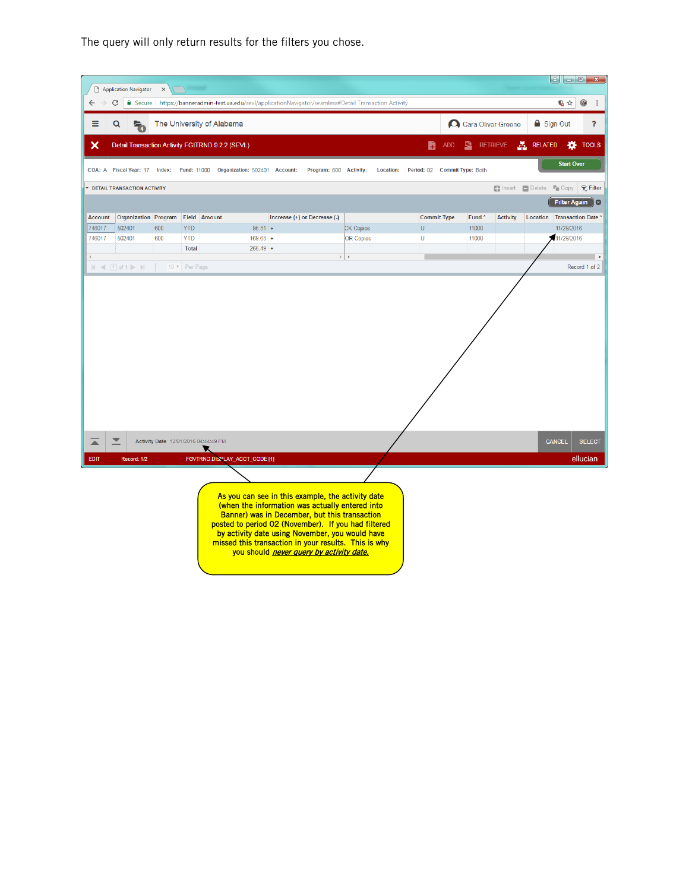The query will only return results for the filters you chose.

|                |                                    |          |                                                  |            |                                                                                                                                                                                                                                                                                                                                                                     |                  |                              |            |                   |                    |                                | $\mathbf{e}$<br>$ - 0 $ | $\mathbf{x}$                |
|----------------|------------------------------------|----------|--------------------------------------------------|------------|---------------------------------------------------------------------------------------------------------------------------------------------------------------------------------------------------------------------------------------------------------------------------------------------------------------------------------------------------------------------|------------------|------------------------------|------------|-------------------|--------------------|--------------------------------|-------------------------|-----------------------------|
| ←              | Application Navigator<br>C         | $\times$ |                                                  |            | Secure   https://banneradmin-test.ua.edu/sevl/applicationNavigator/seamless#Detail Transaction Activity                                                                                                                                                                                                                                                             |                  |                              |            |                   |                    |                                | 临☆                      | $^{\circledR}$<br>$\cdot$ : |
| ≡              |                                    |          |                                                  |            |                                                                                                                                                                                                                                                                                                                                                                     |                  |                              |            |                   | Cara Oliver Greene | $\triangle$ Sign Out           |                         | $\overline{\mathbf{?}}$     |
|                | Q                                  |          | The University of Alabama                        |            |                                                                                                                                                                                                                                                                                                                                                                     |                  |                              |            |                   |                    |                                |                         |                             |
| ×              |                                    |          | Detail Transaction Activity FGITRND 9.2.2 (SEVL) |            |                                                                                                                                                                                                                                                                                                                                                                     |                  | B                            | <b>ADD</b> |                   | <b>RETRIEVE</b>    | 횳<br><b>RELATED</b>            | 娄                       | <b>TOOLS</b>                |
|                | COA: A Fiscal Year: 17             | Index:   | Fund: 11000 Organization: 502401 Account:        |            | Program: 600 Activity:                                                                                                                                                                                                                                                                                                                                              | <b>Location:</b> | Period: 02 Commit Type: Both |            |                   |                    |                                | <b>Start Over</b>       |                             |
|                | <b>TERNAL TRANSACTION ACTIVITY</b> |          |                                                  |            |                                                                                                                                                                                                                                                                                                                                                                     |                  |                              |            |                   |                    | <b>Endinsert Delete F</b> Copy |                         | $P$ Filter                  |
|                |                                    |          |                                                  |            |                                                                                                                                                                                                                                                                                                                                                                     |                  |                              |            |                   |                    |                                |                         | Filter Again 8              |
| <b>Account</b> | <b>Organization Program</b>        |          | <b>Field Amount</b>                              |            | Increase (+) or Decrease (-)                                                                                                                                                                                                                                                                                                                                        |                  | <b>Commit Type</b>           |            | Fund <sup>*</sup> | <b>Activity</b>    | Location Transaction Date      |                         |                             |
| 746017         | 502401                             | 600      | <b>YTD</b>                                       | $95.81 +$  |                                                                                                                                                                                                                                                                                                                                                                     | <b>CK Copies</b> | $\cup$                       |            | 11000             |                    |                                | 11/29/2016              |                             |
| 746017         | 502401                             | 600      | <b>YTD</b>                                       | $169.68 +$ |                                                                                                                                                                                                                                                                                                                                                                     | <b>OR Copies</b> | U                            |            | 11000             |                    |                                | 11/29/2016              |                             |
|                |                                    |          | <b>Total</b>                                     | $265.49 +$ |                                                                                                                                                                                                                                                                                                                                                                     |                  |                              |            |                   |                    |                                |                         |                             |
|                | $ A  \leq (1)$ of $1 \geq  A $     |          | 10 v Per Page                                    |            |                                                                                                                                                                                                                                                                                                                                                                     | $\parallel$ +    |                              |            |                   |                    |                                |                         | Record 1 of 2               |
|                |                                    |          |                                                  |            |                                                                                                                                                                                                                                                                                                                                                                     |                  |                              |            |                   |                    |                                |                         |                             |
|                | ▼                                  |          | Activity Date 12/01/2016 04:44:49 PM<br>▼        |            |                                                                                                                                                                                                                                                                                                                                                                     |                  |                              |            |                   |                    |                                | <b>CANCEL</b>           | <b>SELECT</b>               |
| EDIT           | Record: 1/2                        |          | FGVTRND.DISPLAY_ACCT_CODE [1]                    |            |                                                                                                                                                                                                                                                                                                                                                                     |                  |                              |            |                   |                    |                                |                         | ellucian                    |
|                |                                    |          |                                                  |            | As you can see in this example, the activity date<br>(when the information was actually entered into<br>Banner) was in December, but this transaction<br>posted to period 02 (November). If you had filtered<br>by activity date using November, you would have<br>missed this transaction in your results. This is why<br>you should never query by activity date. |                  |                              |            |                   |                    |                                |                         |                             |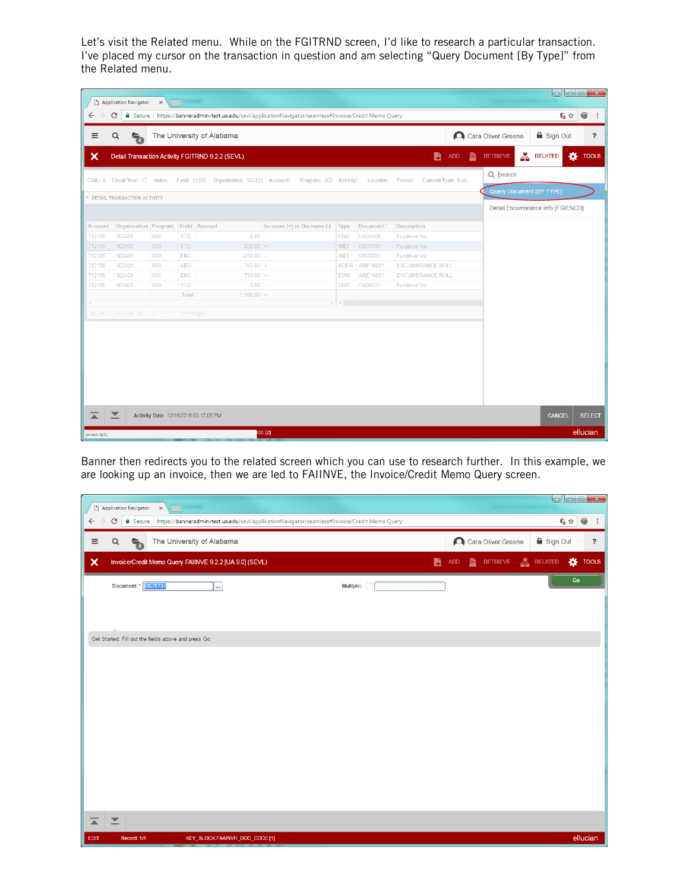Let's visit the Related menu. While on the FGITRND screen, I'd like to research a particular transaction. I've placed my cursor on the transaction in question and am selecting "Query Document [By Type]" from the Related menu.

| $\circledcirc$<br>G☆<br>■ Secure   https://banneradmin-test.ua.edu/sevl/applicationNavigator/seamless#Invoice/Credit Memo Query<br>C<br><b>△</b> Sign Out<br>Cara Oliver Greene<br>Q<br>The University of Alabama<br>Ą,<br>Æ.<br>B<br>娄<br>B<br>ADD<br><b>RETRIEVE</b><br><b>RELATED</b><br>Detail Transaction Activity FGITRND 9.2.2 (SEVL)<br>Q Search<br>COA: A Fiscal Year: 17 Index: Fund: 11000 Organization: 502401 Account:<br>Program: 600 Activity:<br>Location:<br>Period:<br>Commit Type: Both<br>Query Document [BY TYPE]<br><b>EX DETAIL TRANSACTION ACTIVITY</b><br>Detail Encumbrance Info [FGIENCD]<br>Organization Program Field Amount<br>Increase (+) or Decrease (-)<br>Type<br>Document*<br>Description<br>502401<br>$0.00 -$<br>13501908<br>600<br><b>YTD</b><br><b>DNEI</b><br>Fundriver Inc.<br>502401<br>$250.00 +$<br>712105<br>600<br><b>YTD</b><br><b>INEI</b><br>10678781<br>Fundriver Inc<br>502401<br><b>ENC</b><br>$-250.00 -$<br><b>INEI</b><br>Fundriver Inc.<br>712105<br>600<br>10678781<br>$750.00 +$<br>712105<br>502401<br><b>ABD</b><br>BDER ARE16001<br><b>ENCUMBRANCE ROLL</b><br>600<br>502401<br><b>ENC</b><br>$750.00 +$<br>ARE16001<br><b>ENCUMBRANCE ROLL</b><br>712105<br>600<br>E090<br>712105<br><b>YTD</b><br>$0.00 -$<br>13494221<br>Fundriver Inc<br>502401<br>600<br><b>DNEI</b><br>Total<br>$1,500.00 +$<br>$\mathbb{R}^d$ . $\mathbb{R}^d$<br>$ A $ $\leq  T $ of $1 \geq  A $<br>10 v Per Page<br>⊻<br><b>CANCEL</b><br>Activity Date 12/16/2016 03:17:05 PM<br>ellucian.<br><b>DE [2]</b> | D                | <b>Application Navigator</b> | $\times$ | $\sqrt{2}$ |  |  |  |  |                |
|------------------------------------------------------------------------------------------------------------------------------------------------------------------------------------------------------------------------------------------------------------------------------------------------------------------------------------------------------------------------------------------------------------------------------------------------------------------------------------------------------------------------------------------------------------------------------------------------------------------------------------------------------------------------------------------------------------------------------------------------------------------------------------------------------------------------------------------------------------------------------------------------------------------------------------------------------------------------------------------------------------------------------------------------------------------------------------------------------------------------------------------------------------------------------------------------------------------------------------------------------------------------------------------------------------------------------------------------------------------------------------------------------------------------------------------------------------------------------------------------------------------------------------------------------|------------------|------------------------------|----------|------------|--|--|--|--|----------------|
|                                                                                                                                                                                                                                                                                                                                                                                                                                                                                                                                                                                                                                                                                                                                                                                                                                                                                                                                                                                                                                                                                                                                                                                                                                                                                                                                                                                                                                                                                                                                                      | $\leftarrow$     |                              |          |            |  |  |  |  | $\ddot{\cdot}$ |
|                                                                                                                                                                                                                                                                                                                                                                                                                                                                                                                                                                                                                                                                                                                                                                                                                                                                                                                                                                                                                                                                                                                                                                                                                                                                                                                                                                                                                                                                                                                                                      | Ξ                |                              |          |            |  |  |  |  | $\mathbf{P}$   |
|                                                                                                                                                                                                                                                                                                                                                                                                                                                                                                                                                                                                                                                                                                                                                                                                                                                                                                                                                                                                                                                                                                                                                                                                                                                                                                                                                                                                                                                                                                                                                      | ×                |                              |          |            |  |  |  |  | <b>TOOLS</b>   |
|                                                                                                                                                                                                                                                                                                                                                                                                                                                                                                                                                                                                                                                                                                                                                                                                                                                                                                                                                                                                                                                                                                                                                                                                                                                                                                                                                                                                                                                                                                                                                      |                  |                              |          |            |  |  |  |  |                |
|                                                                                                                                                                                                                                                                                                                                                                                                                                                                                                                                                                                                                                                                                                                                                                                                                                                                                                                                                                                                                                                                                                                                                                                                                                                                                                                                                                                                                                                                                                                                                      |                  |                              |          |            |  |  |  |  |                |
|                                                                                                                                                                                                                                                                                                                                                                                                                                                                                                                                                                                                                                                                                                                                                                                                                                                                                                                                                                                                                                                                                                                                                                                                                                                                                                                                                                                                                                                                                                                                                      |                  |                              |          |            |  |  |  |  |                |
|                                                                                                                                                                                                                                                                                                                                                                                                                                                                                                                                                                                                                                                                                                                                                                                                                                                                                                                                                                                                                                                                                                                                                                                                                                                                                                                                                                                                                                                                                                                                                      | Account          |                              |          |            |  |  |  |  |                |
|                                                                                                                                                                                                                                                                                                                                                                                                                                                                                                                                                                                                                                                                                                                                                                                                                                                                                                                                                                                                                                                                                                                                                                                                                                                                                                                                                                                                                                                                                                                                                      | 712105           |                              |          |            |  |  |  |  |                |
|                                                                                                                                                                                                                                                                                                                                                                                                                                                                                                                                                                                                                                                                                                                                                                                                                                                                                                                                                                                                                                                                                                                                                                                                                                                                                                                                                                                                                                                                                                                                                      |                  |                              |          |            |  |  |  |  |                |
|                                                                                                                                                                                                                                                                                                                                                                                                                                                                                                                                                                                                                                                                                                                                                                                                                                                                                                                                                                                                                                                                                                                                                                                                                                                                                                                                                                                                                                                                                                                                                      |                  |                              |          |            |  |  |  |  |                |
|                                                                                                                                                                                                                                                                                                                                                                                                                                                                                                                                                                                                                                                                                                                                                                                                                                                                                                                                                                                                                                                                                                                                                                                                                                                                                                                                                                                                                                                                                                                                                      |                  |                              |          |            |  |  |  |  |                |
|                                                                                                                                                                                                                                                                                                                                                                                                                                                                                                                                                                                                                                                                                                                                                                                                                                                                                                                                                                                                                                                                                                                                                                                                                                                                                                                                                                                                                                                                                                                                                      |                  |                              |          |            |  |  |  |  |                |
|                                                                                                                                                                                                                                                                                                                                                                                                                                                                                                                                                                                                                                                                                                                                                                                                                                                                                                                                                                                                                                                                                                                                                                                                                                                                                                                                                                                                                                                                                                                                                      |                  |                              |          |            |  |  |  |  |                |
|                                                                                                                                                                                                                                                                                                                                                                                                                                                                                                                                                                                                                                                                                                                                                                                                                                                                                                                                                                                                                                                                                                                                                                                                                                                                                                                                                                                                                                                                                                                                                      |                  |                              |          |            |  |  |  |  |                |
|                                                                                                                                                                                                                                                                                                                                                                                                                                                                                                                                                                                                                                                                                                                                                                                                                                                                                                                                                                                                                                                                                                                                                                                                                                                                                                                                                                                                                                                                                                                                                      |                  |                              |          |            |  |  |  |  |                |
|                                                                                                                                                                                                                                                                                                                                                                                                                                                                                                                                                                                                                                                                                                                                                                                                                                                                                                                                                                                                                                                                                                                                                                                                                                                                                                                                                                                                                                                                                                                                                      |                  |                              |          |            |  |  |  |  |                |
|                                                                                                                                                                                                                                                                                                                                                                                                                                                                                                                                                                                                                                                                                                                                                                                                                                                                                                                                                                                                                                                                                                                                                                                                                                                                                                                                                                                                                                                                                                                                                      |                  |                              |          |            |  |  |  |  |                |
|                                                                                                                                                                                                                                                                                                                                                                                                                                                                                                                                                                                                                                                                                                                                                                                                                                                                                                                                                                                                                                                                                                                                                                                                                                                                                                                                                                                                                                                                                                                                                      | $\blacktriangle$ |                              |          |            |  |  |  |  | <b>SELECT</b>  |

Banner then redirects you to the related screen which you can use to research further. In this example, we are looking up an invoice, then we are led to FAIINVE, the Invoice/Credit Memo Query screen.